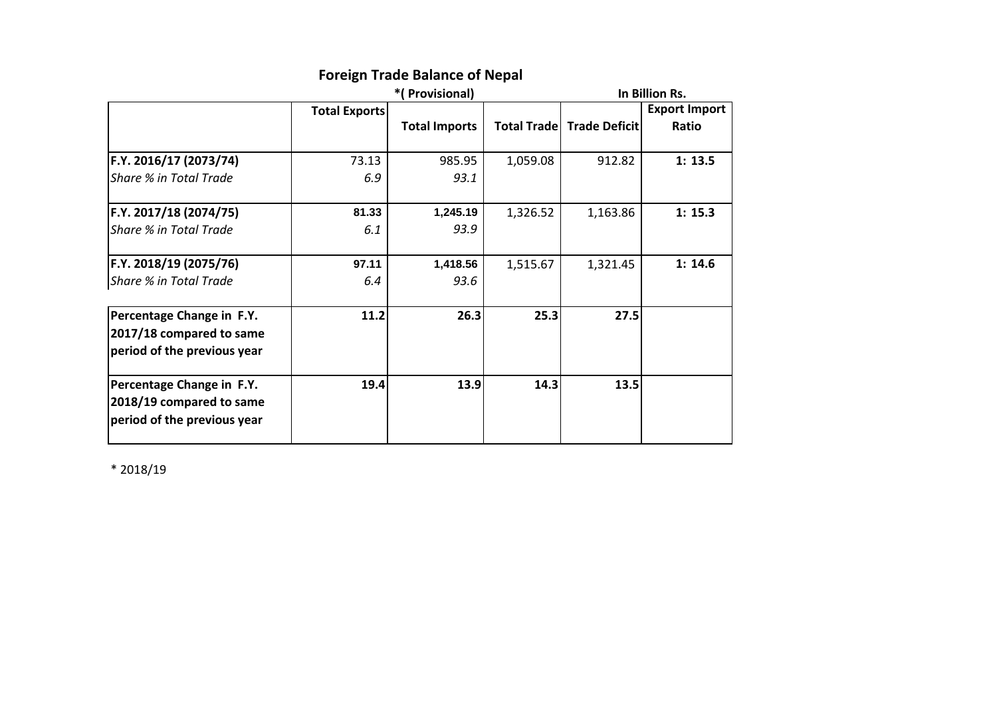|                             |                      | *(Provisional)       |          | In Billion Rs.                     |                      |  |
|-----------------------------|----------------------|----------------------|----------|------------------------------------|----------------------|--|
|                             | <b>Total Exports</b> |                      |          |                                    | <b>Export Import</b> |  |
|                             |                      | <b>Total Imports</b> |          | <b>Total Trade   Trade Deficit</b> | Ratio                |  |
|                             |                      |                      |          |                                    |                      |  |
| F.Y. 2016/17 (2073/74)      | 73.13                | 985.95               | 1,059.08 | 912.82                             | 1:13.5               |  |
| Share % in Total Trade      | 6.9                  | 93.1                 |          |                                    |                      |  |
| F.Y. 2017/18 (2074/75)      | 81.33                | 1,245.19             | 1,326.52 | 1,163.86                           | 1: 15.3              |  |
| Share % in Total Trade      | 6.1                  | 93.9                 |          |                                    |                      |  |
| F.Y. 2018/19 (2075/76)      | 97.11                | 1,418.56             | 1,515.67 | 1,321.45                           | 1:14.6               |  |
| Share % in Total Trade      | 6.4                  | 93.6                 |          |                                    |                      |  |
| Percentage Change in F.Y.   | 11.2                 | 26.3                 | 25.3     | 27.5                               |                      |  |
| 2017/18 compared to same    |                      |                      |          |                                    |                      |  |
| period of the previous year |                      |                      |          |                                    |                      |  |
| Percentage Change in F.Y.   | 19.4                 | 13.9                 | 14.3     | 13.5                               |                      |  |
| 2018/19 compared to same    |                      |                      |          |                                    |                      |  |
| period of the previous year |                      |                      |          |                                    |                      |  |

# **Foreign Trade Balance of Nepal**

\* 2018/19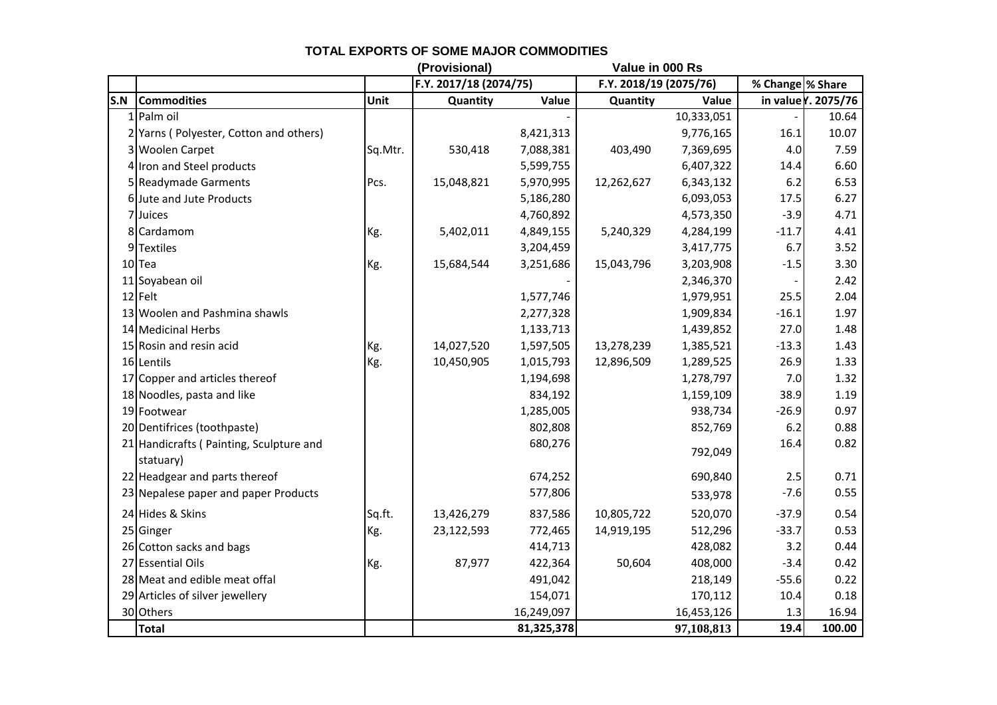|     |                                                      |         | (Provisional)<br>Value in 000 Rs |            |                        |            |                  |                    |
|-----|------------------------------------------------------|---------|----------------------------------|------------|------------------------|------------|------------------|--------------------|
|     |                                                      |         | F.Y. 2017/18 (2074/75)           |            | F.Y. 2018/19 (2075/76) |            | % Change % Share |                    |
| S.N | <b>Commodities</b>                                   | Unit    | Quantity                         | Value      | Quantity               | Value      |                  | in value . 2075/76 |
|     | $1$ Palm oil                                         |         |                                  |            |                        | 10,333,051 |                  | 10.64              |
|     | 2 Yarns (Polyester, Cotton and others)               |         |                                  | 8,421,313  |                        | 9,776,165  | 16.1             | 10.07              |
|     | 3 Woolen Carpet                                      | Sq.Mtr. | 530,418                          | 7,088,381  | 403,490                | 7,369,695  | 4.0              | 7.59               |
|     | 4 Iron and Steel products                            |         |                                  | 5,599,755  |                        | 6,407,322  | 14.4             | 6.60               |
|     | 5 Readymade Garments                                 | Pcs.    | 15,048,821                       | 5,970,995  | 12,262,627             | 6,343,132  | 6.2              | 6.53               |
|     | 6 Jute and Jute Products                             |         |                                  | 5,186,280  |                        | 6,093,053  | 17.5             | 6.27               |
|     | 7 Juices                                             |         |                                  | 4,760,892  |                        | 4,573,350  | $-3.9$           | 4.71               |
|     | 8 Cardamom                                           | Kg.     | 5,402,011                        | 4,849,155  | 5,240,329              | 4,284,199  | $-11.7$          | 4.41               |
|     | 9 Textiles                                           |         |                                  | 3,204,459  |                        | 3,417,775  | 6.7              | 3.52               |
|     | 10Tea                                                | Kg.     | 15,684,544                       | 3,251,686  | 15,043,796             | 3,203,908  | $-1.5$           | 3.30               |
|     | 11 Soyabean oil                                      |         |                                  |            |                        | 2,346,370  |                  | 2.42               |
|     | 12 Felt                                              |         |                                  | 1,577,746  |                        | 1,979,951  | 25.5             | 2.04               |
|     | 13 Woolen and Pashmina shawls                        |         |                                  | 2,277,328  |                        | 1,909,834  | $-16.1$          | 1.97               |
|     | 14 Medicinal Herbs                                   |         |                                  | 1,133,713  |                        | 1,439,852  | 27.0             | 1.48               |
|     | 15 Rosin and resin acid                              | Kg.     | 14,027,520                       | 1,597,505  | 13,278,239             | 1,385,521  | $-13.3$          | 1.43               |
|     | 16 Lentils                                           | Kg.     | 10,450,905                       | 1,015,793  | 12,896,509             | 1,289,525  | 26.9             | 1.33               |
|     | 17 Copper and articles thereof                       |         |                                  | 1,194,698  |                        | 1,278,797  | 7.0              | 1.32               |
|     | 18 Noodles, pasta and like                           |         |                                  | 834,192    |                        | 1,159,109  | 38.9             | 1.19               |
|     | 19 Footwear                                          |         |                                  | 1,285,005  |                        | 938,734    | $-26.9$          | 0.97               |
|     | 20 Dentifrices (toothpaste)                          |         |                                  | 802,808    |                        | 852,769    | 6.2              | 0.88               |
|     | 21 Handicrafts (Painting, Sculpture and<br>statuary) |         |                                  | 680,276    |                        | 792,049    | 16.4             | 0.82               |
|     | 22 Headgear and parts thereof                        |         |                                  | 674,252    |                        | 690,840    | 2.5              | 0.71               |
|     | 23 Nepalese paper and paper Products                 |         |                                  | 577,806    |                        | 533,978    | $-7.6$           | 0.55               |
|     | 24 Hides & Skins                                     | Sq.ft.  | 13,426,279                       | 837,586    | 10,805,722             | 520,070    | $-37.9$          | 0.54               |
|     | 25 Ginger                                            | Kg.     | 23,122,593                       | 772,465    | 14,919,195             | 512,296    | $-33.7$          | 0.53               |
|     | 26 Cotton sacks and bags                             |         |                                  | 414,713    |                        | 428,082    | 3.2              | 0.44               |
|     | 27 Essential Oils                                    | Kg.     | 87,977                           | 422,364    | 50,604                 | 408,000    | $-3.4$           | 0.42               |
|     | 28 Meat and edible meat offal                        |         |                                  | 491,042    |                        | 218,149    | $-55.6$          | 0.22               |
|     | 29 Articles of silver jewellery                      |         |                                  | 154,071    |                        | 170,112    | 10.4             | 0.18               |
|     | 30 Others                                            |         |                                  | 16,249,097 |                        | 16,453,126 | 1.3              | 16.94              |
|     | <b>Total</b>                                         |         |                                  | 81,325,378 |                        | 97,108,813 | 19.4             | 100.00             |

### **TOTAL EXPORTS OF SOME MAJOR COMMODITIES**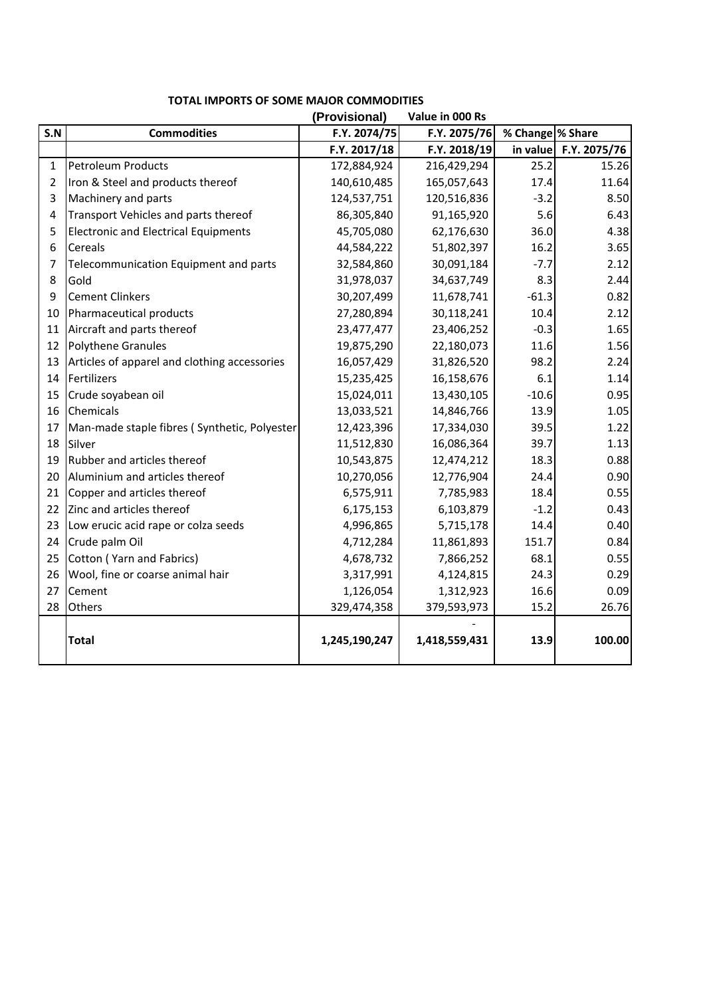|                |                                              | (Provisional) | Value in 000 Rs |                  |              |
|----------------|----------------------------------------------|---------------|-----------------|------------------|--------------|
| S.N            | <b>Commodities</b>                           | F.Y. 2074/75  | F.Y. 2075/76    | % Change % Share |              |
|                |                                              | F.Y. 2017/18  | F.Y. 2018/19    | in value         | F.Y. 2075/76 |
| $\mathbf{1}$   | Petroleum Products                           | 172,884,924   | 216,429,294     | 25.2             | 15.26        |
| $\overline{2}$ | Iron & Steel and products thereof            | 140,610,485   | 165,057,643     | 17.4             | 11.64        |
| 3              | Machinery and parts                          | 124,537,751   | 120,516,836     | $-3.2$           | 8.50         |
| 4              | Transport Vehicles and parts thereof         | 86,305,840    | 91,165,920      | 5.6              | 6.43         |
| 5              | <b>Electronic and Electrical Equipments</b>  | 45,705,080    | 62,176,630      | 36.0             | 4.38         |
| 6              | Cereals                                      | 44,584,222    | 51,802,397      | 16.2             | 3.65         |
| 7              | Telecommunication Equipment and parts        | 32,584,860    | 30,091,184      | $-7.7$           | 2.12         |
| 8              | Gold                                         | 31,978,037    | 34,637,749      | 8.3              | 2.44         |
| 9              | <b>Cement Clinkers</b>                       | 30,207,499    | 11,678,741      | $-61.3$          | 0.82         |
| 10             | Pharmaceutical products                      | 27,280,894    | 30,118,241      | 10.4             | 2.12         |
| 11             | Aircraft and parts thereof                   | 23,477,477    | 23,406,252      | $-0.3$           | 1.65         |
| 12             | <b>Polythene Granules</b>                    | 19,875,290    | 22,180,073      | 11.6             | 1.56         |
| 13             | Articles of apparel and clothing accessories | 16,057,429    | 31,826,520      | 98.2             | 2.24         |
| 14             | Fertilizers                                  | 15,235,425    | 16,158,676      | 6.1              | 1.14         |
| 15             | Crude soyabean oil                           | 15,024,011    | 13,430,105      | $-10.6$          | 0.95         |
| 16             | Chemicals                                    | 13,033,521    | 14,846,766      | 13.9             | 1.05         |
| 17             | Man-made staple fibres (Synthetic, Polyester | 12,423,396    | 17,334,030      | 39.5             | 1.22         |
| 18             | Silver                                       | 11,512,830    | 16,086,364      | 39.7             | 1.13         |
| 19             | Rubber and articles thereof                  | 10,543,875    | 12,474,212      | 18.3             | 0.88         |
| 20             | Aluminium and articles thereof               | 10,270,056    | 12,776,904      | 24.4             | 0.90         |
| 21             | Copper and articles thereof                  | 6,575,911     | 7,785,983       | 18.4             | 0.55         |
| 22             | Zinc and articles thereof                    | 6,175,153     | 6,103,879       | $-1.2$           | 0.43         |
| 23             | Low erucic acid rape or colza seeds          | 4,996,865     | 5,715,178       | 14.4             | 0.40         |
| 24             | Crude palm Oil                               | 4,712,284     | 11,861,893      | 151.7            | 0.84         |
| 25             | Cotton (Yarn and Fabrics)                    | 4,678,732     | 7,866,252       | 68.1             | 0.55         |
| 26             | Wool, fine or coarse animal hair             | 3,317,991     | 4,124,815       | 24.3             | 0.29         |
| 27             | Cement                                       | 1,126,054     | 1,312,923       | 16.6             | 0.09         |
| 28             | Others                                       | 329,474,358   | 379,593,973     | 15.2             | 26.76        |
|                | <b>Total</b>                                 | 1,245,190,247 | 1,418,559,431   | 13.9             | 100.00       |

### **TOTAL IMPORTS OF SOME MAJOR COMMODITIES**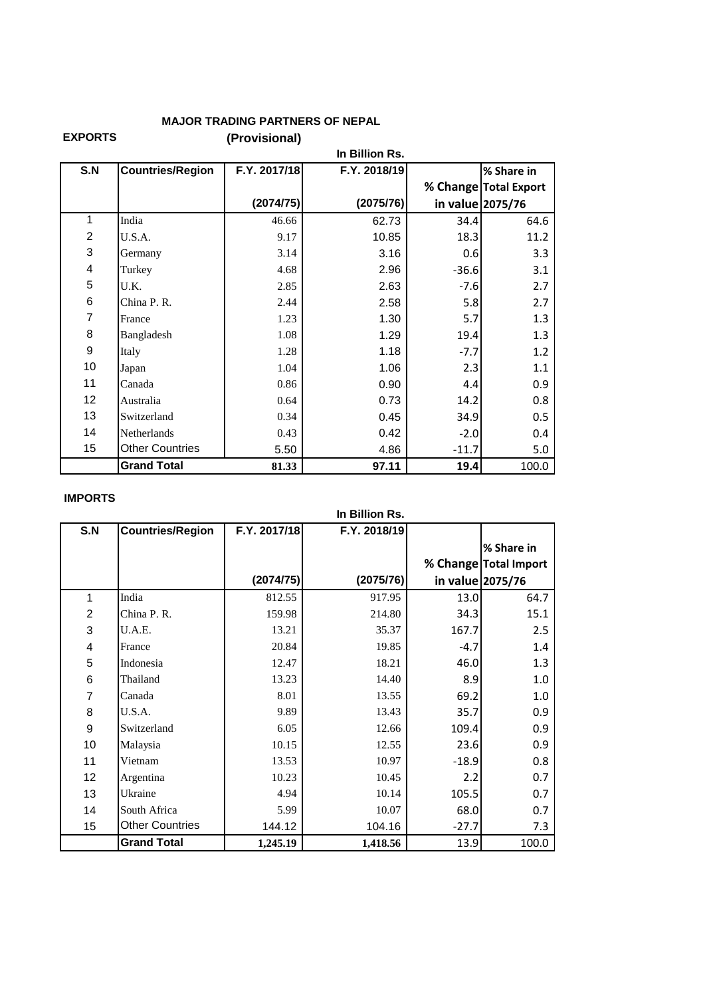## **MAJOR TRADING PARTNERS OF NEPAL**

**EXPORTS (Provisional) In Billion Rs.**

|                           |                         |              | In Billion Rs. |                  |                       |  |
|---------------------------|-------------------------|--------------|----------------|------------------|-----------------------|--|
| S.N                       | <b>Countries/Region</b> | F.Y. 2017/18 | F.Y. 2018/19   |                  | % Share in            |  |
|                           |                         |              |                |                  | % Change Total Export |  |
|                           |                         | (2074/75)    | (2075/76)      | in value 2075/76 |                       |  |
| 1                         | India                   | 46.66        | 62.73          | 34.4             | 64.6                  |  |
| $\overline{2}$            | U.S.A.                  | 9.17         | 10.85          | 18.3             | 11.2                  |  |
| $\ensuremath{\mathsf{3}}$ | Germany                 | 3.14         | 3.16           | 0.6              | 3.3                   |  |
| 4                         | Turkey                  | 4.68         | 2.96           | $-36.6$          | 3.1                   |  |
| 5                         | U.K.                    | 2.85         | 2.63           | $-7.6$           | 2.7                   |  |
| 6                         | China P. R.             | 2.44         | 2.58           | 5.8              | 2.7                   |  |
| 7                         | France                  | 1.23         | 1.30           | 5.7              | 1.3                   |  |
| 8                         | Bangladesh              | 1.08         | 1.29           | 19.4             | 1.3                   |  |
| 9                         | Italy                   | 1.28         | 1.18           | $-7.7$           | 1.2                   |  |
| 10                        | Japan                   | 1.04         | 1.06           | 2.3              | 1.1                   |  |
| 11                        | Canada                  | 0.86         | 0.90           | 4.4              | 0.9                   |  |
| 12                        | Australia               | 0.64         | 0.73           | 14.2             | 0.8                   |  |
| 13                        | Switzerland             | 0.34         | 0.45           | 34.9             | 0.5                   |  |
| 14                        | <b>Netherlands</b>      | 0.43         | 0.42           | $-2.0$           | 0.4                   |  |
| 15                        | <b>Other Countries</b>  | 5.50         | 4.86           | $-11.7$          | 5.0                   |  |
|                           | <b>Grand Total</b>      | 81.33        | 97.11          | 19.4             | 100.0                 |  |

#### **IMPORTS**

|                         |                         |              | In Billion Rs. |                  |                       |
|-------------------------|-------------------------|--------------|----------------|------------------|-----------------------|
| S.N                     | <b>Countries/Region</b> | F.Y. 2017/18 | F.Y. 2018/19   |                  |                       |
|                         |                         |              |                |                  | % Share in            |
|                         |                         |              |                |                  | % Change Total Import |
|                         |                         | (2074/75)    | (2075/76)      | in value 2075/76 |                       |
| 1                       | India                   | 812.55       | 917.95         | 13.0             | 64.7                  |
| $\overline{c}$          | China P. R.             | 159.98       | 214.80         | 34.3             | 15.1                  |
| 3                       | U.A.E.                  | 13.21        | 35.37          | 167.7            | 2.5                   |
| $\overline{\mathbf{4}}$ | France                  | 20.84        | 19.85          | $-4.7$           | 1.4                   |
| 5                       | Indonesia               | 12.47        | 18.21          | 46.0             | 1.3                   |
| 6                       | Thailand                | 13.23        | 14.40          | 8.9              | 1.0                   |
| $\overline{7}$          | Canada                  | 8.01         | 13.55          | 69.2             | 1.0                   |
| 8                       | U.S.A.                  | 9.89         | 13.43          | 35.7             | 0.9                   |
| $\boldsymbol{9}$        | Switzerland             | 6.05         | 12.66          | 109.4            | 0.9                   |
| 10                      | Malaysia                | 10.15        | 12.55          | 23.6             | 0.9                   |
| 11                      | Vietnam                 | 13.53        | 10.97          | $-18.9$          | 0.8                   |
| 12                      | Argentina               | 10.23        | 10.45          | 2.2              | 0.7                   |
| 13                      | Ukraine                 | 4.94         | 10.14          | 105.5            | 0.7                   |
| 14                      | South Africa            | 5.99         | 10.07          | 68.0             | 0.7                   |
| 15                      | <b>Other Countries</b>  | 144.12       | 104.16         | $-27.7$          | 7.3                   |
|                         | <b>Grand Total</b>      | 1,245.19     | 1,418.56       | 13.9             | 100.0                 |